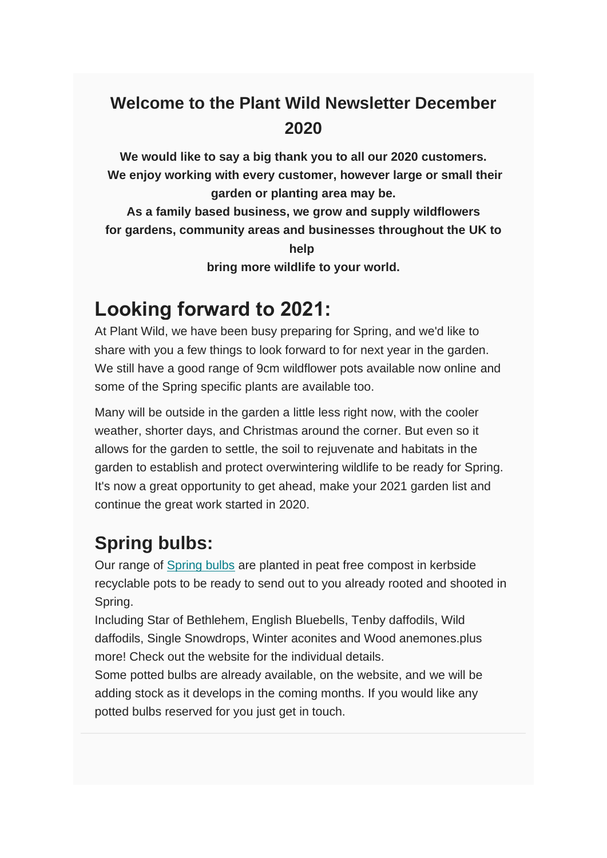#### **Welcome to the Plant Wild Newsletter December 2020**

**We would like to say a big thank you to all our 2020 customers. We enjoy working with every customer, however large or small their garden or planting area may be.**

**As a family based business, we grow and supply wildflowers for gardens, community areas and businesses throughout the UK to help**

**bring more wildlife to your world.**

## **Looking forward to 2021:**

At Plant Wild, we have been busy preparing for Spring, and we'd like to share with you a few things to look forward to for next year in the garden. We still have a good range of 9cm wildflower pots available now online and some of the Spring specific plants are available too.

Many will be outside in the garden a little less right now, with the cooler weather, shorter days, and Christmas around the corner. But even so it allows for the garden to settle, the soil to rejuvenate and habitats in the garden to establish and protect overwintering wildlife to be ready for Spring. It's now a great opportunity to get ahead, make your 2021 garden list and continue the great work started in 2020.

#### **Spring bulbs:**

Our range of Spring bulbs are planted in peat free compost in kerbside recyclable pots to be ready to send out to you already rooted and shooted in Spring.

Including Star of Bethlehem, English Bluebells, Tenby daffodils, Wild daffodils, Single Snowdrops, Winter aconites and Wood anemones.plus more! Check out the website for the individual details.

Some potted bulbs are already available, on the website, and we will be adding stock as it develops in the coming months. If you would like any potted bulbs reserved for you just get in touch.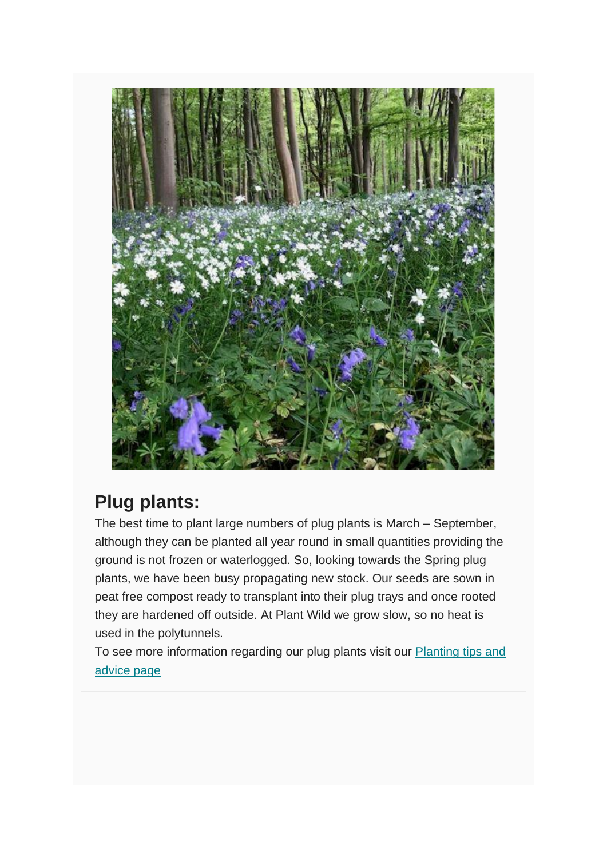

### **Plug plants:**

The best time to plant large numbers of plug plants is March – September, although they can be planted all year round in small quantities providing the ground is not frozen or waterlogged. So, looking towards the Spring plug plants, we have been busy propagating new stock. Our seeds are sown in peat free compost ready to transplant into their plug trays and once rooted they are hardened off outside. At Plant Wild we grow slow, so no heat is used in the polytunnels.

To see more information regarding our plug plants visit our [Planting tips and](https://www.plantwild.co.uk/planting-tips/)  [advice page](https://www.plantwild.co.uk/planting-tips/)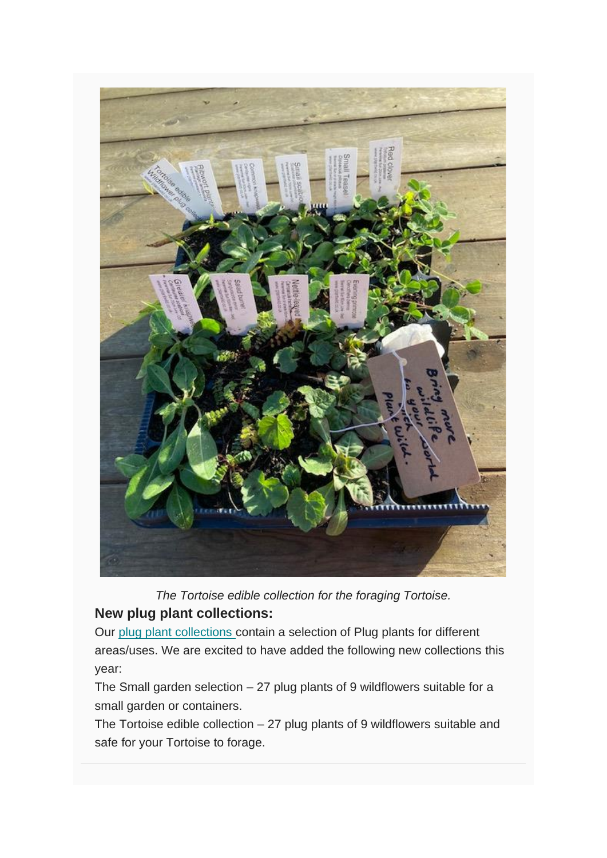

*The Tortoise edible collection for the foraging Tortoise.*

#### **New plug plant collections:**

Our [plug plant collections](https://www.plantwild.co.uk/product-category/plug-plant-wildflower-collection/) contain a selection of Plug plants for different areas/uses. We are excited to have added the following new collections this year:

The Small garden selection  $-27$  plug plants of 9 wildflowers suitable for a small garden or containers.

The Tortoise edible collection – 27 plug plants of 9 wildflowers suitable and safe for your Tortoise to forage.